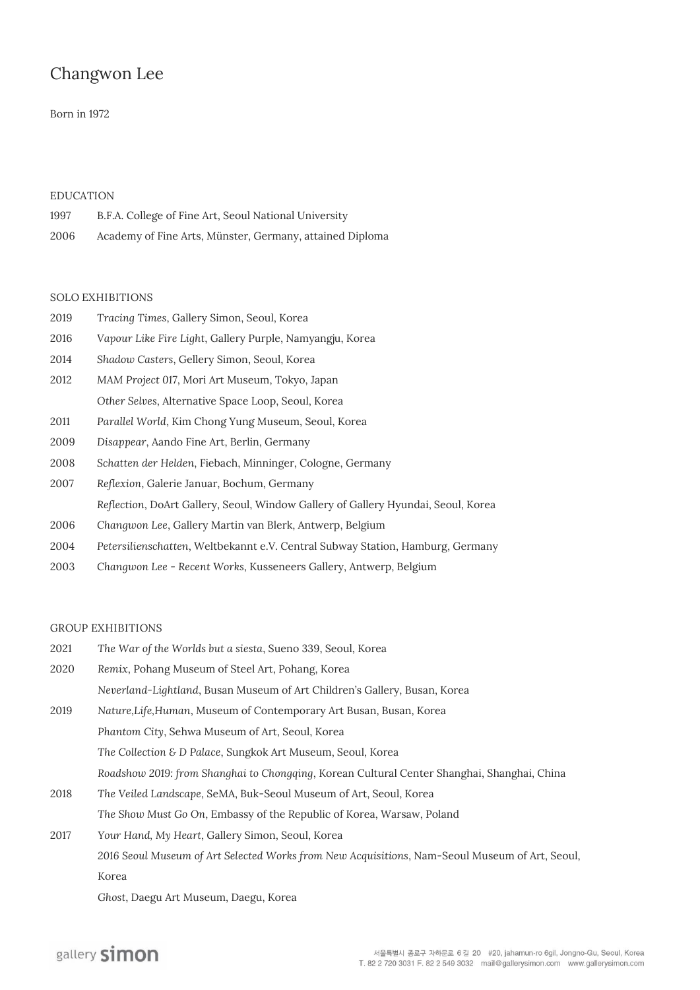## Changwon Lee

### Born in 1972

#### **EDUCATION**

| 1997 | B.F.A. College of Fine Art, Seoul National University    |
|------|----------------------------------------------------------|
| 2006 | Academy of Fine Arts, Münster, Germany, attained Diploma |

#### **SOLO EXHIBITIONS**

| 2019 | Tracing Times, Gallery Simon, Seoul, Korea                                        |
|------|-----------------------------------------------------------------------------------|
| 2016 | Vapour Like Fire Light, Gallery Purple, Namyangju, Korea                          |
| 2014 | Shadow Casters, Gellery Simon, Seoul, Korea                                       |
| 2012 | MAM Project 017, Mori Art Museum, Tokyo, Japan                                    |
|      | Other Selves, Alternative Space Loop, Seoul, Korea                                |
| 2011 | Parallel World, Kim Chong Yung Museum, Seoul, Korea                               |
| 2009 | Disappear, Aando Fine Art, Berlin, Germany                                        |
| 2008 | Schatten der Helden, Fiebach, Minninger, Cologne, Germany                         |
| 2007 | Reflexion, Galerie Januar, Bochum, Germany                                        |
|      | Reflection, DoArt Gallery, Seoul, Window Gallery of Gallery Hyundai, Seoul, Korea |
| 2006 | Changwon Lee, Gallery Martin van Blerk, Antwerp, Belgium                          |
|      |                                                                                   |

- 2004 *Petersilienschatten*, Weltbekannt e.V. Central Subway Station, Hamburg, Germany
- 2003 *Changwon Lee - Recent Works*, Kusseneers Gallery, Antwerp, Belgium

#### **GROUP EXHIBITIONS**

| 2021 | The War of the Worlds but a siesta, Sueno 339, Seoul, Korea                                    |
|------|------------------------------------------------------------------------------------------------|
| 2020 | Remix, Pohang Museum of Steel Art, Pohang, Korea                                               |
|      | Neverland-Lightland, Busan Museum of Art Children's Gallery, Busan, Korea                      |
| 2019 | Nature, Life, Human, Museum of Contemporary Art Busan, Busan, Korea                            |
|      | Phantom City, Sehwa Museum of Art, Seoul, Korea                                                |
|      | The Collection & D Palace, Sungkok Art Museum, Seoul, Korea                                    |
|      | Roadshow 2019: from Shanghai to Chongqing, Korean Cultural Center Shanghai, Shanghai, China    |
| 2018 | The Veiled Landscape, SeMA, Buk-Seoul Museum of Art, Seoul, Korea                              |
|      | The Show Must Go On, Embassy of the Republic of Korea, Warsaw, Poland                          |
| 2017 | Your Hand, My Heart, Gallery Simon, Seoul, Korea                                               |
|      | 2016 Seoul Museum of Art Selected Works from New Acquisitions, Nam-Seoul Museum of Art, Seoul, |
|      | Korea                                                                                          |

*Ghost*, Daegu Art Museum, Daegu, Korea

# gallery simon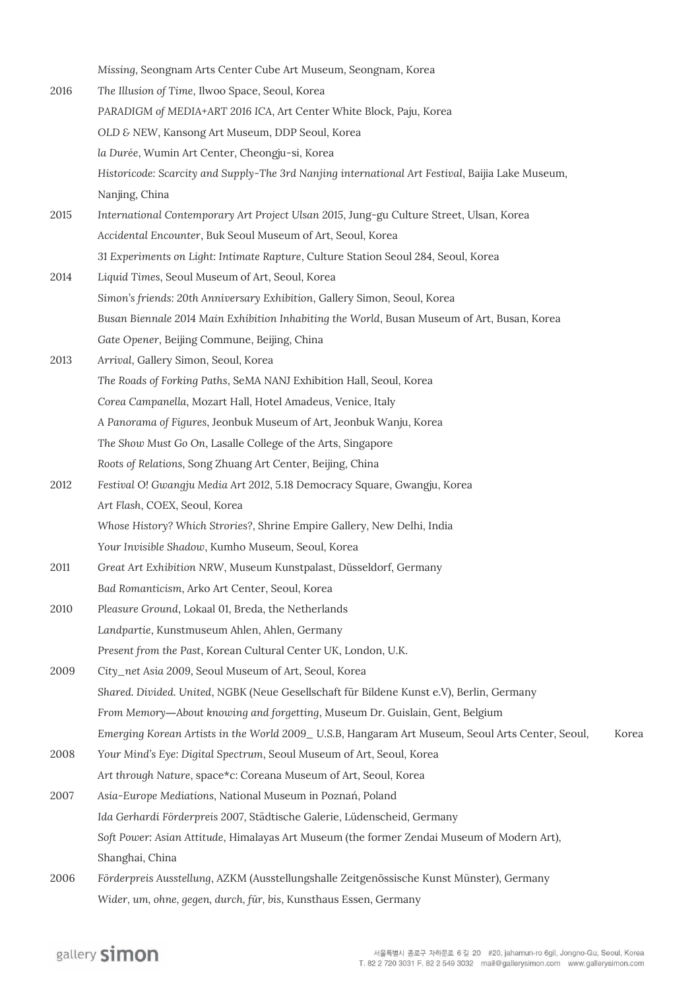*Missing*, Seongnam Arts Center Cube Art Museum, Seongnam, Korea

- 2016 *The Illusion of Time*, Ilwoo Space, Seoul, Korea *PARADIGM of MEDIA+ART 2016 ICA*, Art Center White Block, Paju, Korea *OLD & NEW*, Kansong Art Museum, DDP Seoul, Korea *la Durée*, Wumin Art Center, Cheongju-si, Korea *Historicode: Scarcity and Supply-The 3rd Nanjing international Art Festival*, Baijia Lake Museum, Nanjing, China 2015 *International Contemporary Art Project Ulsan 2015*, Jung-gu Culture Street, Ulsan, Korea *Accidental Encounter*, Buk Seoul Museum of Art, Seoul, Korea *31 Experiments on Light: Intimate Rapture*, Culture Station Seoul 284, Seoul, Korea 2014 *Liquid Times*, Seoul Museum of Art, Seoul, Korea *Simon's friends: 20th Anniversary Exhibition*, Gallery Simon, Seoul, Korea *Busan Biennale 2014 Main Exhibition Inhabiting the World*, Busan Museum of Art, Busan, Korea *Gate Opener*, Beijing Commune, Beijing, China 2013 *Arrival*, Gallery Simon, Seoul, Korea *The Roads of Forking Paths*, SeMA NANJ Exhibition Hall, Seoul, Korea
	- *Corea Campanella*, Mozart Hall, Hotel Amadeus, Venice, Italy
	- *A Panorama of Figures*, Jeonbuk Museum of Art, Jeonbuk Wanju, Korea
	- *The Show Must Go On*, Lasalle College of the Arts, Singapore
	- *Roots of Relations*, Song Zhuang Art Center, Beijing, China
- 2012 *Festival O! Gwangju Media Art 2012*, 5.18 Democracy Square, Gwangju, Korea *Art Flash*, COEX, Seoul, Korea *Whose History? Which Strories?*, Shrine Empire Gallery, New Delhi, India
	- *Your Invisible Shadow*, Kumho Museum, Seoul, Korea
- 2011 *Great Art Exhibition NRW*, Museum Kunstpalast, Düsseldorf, Germany *Bad Romanticism*, Arko Art Center, Seoul, Korea
- 2010 *Pleasure Ground*, Lokaal 01, Breda, the Netherlands *Landpartie*, Kunstmuseum Ahlen, Ahlen, Germany *Present from the Past*, Korean Cultural Center UK, London, U.K.
- 2009 *City\_net Asia 2009*, Seoul Museum of Art, Seoul, Korea *Shared. Divided. United*, NGBK (Neue Gesellschaft für Bildene Kunst e.V), Berlin, Germany *From Memory―About knowing and forgetting*, Museum Dr. Guislain, Gent, Belgium *Emerging Korean Artists in the World 2009\_U.S.B, Hangaram Art Museum, Seoul Arts Center, Seoul, Korea*
- 2008 *Your Mind's Eye: Digital Spectrum*, Seoul Museum of Art, Seoul, Korea *Art through Nature*, space\*c: Coreana Museum of Art, Seoul, Korea
- 2007 *Asia-Europe Mediations*, National Museum in Poznań, Poland *Ida Gerhardi Förderpreis 2007*, Städtische Galerie, Lüdenscheid, Germany *Soft Power: Asian Attitude*, Himalayas Art Museum (the former Zendai Museum of Modern Art), Shanghai, China
- 2006 *Förderpreis Ausstellung*, AZKM (Ausstellungshalle Zeitgenössische Kunst Münster), Germany *Wider, um, ohne, gegen, durch, für, bis*, Kunsthaus Essen, Germany